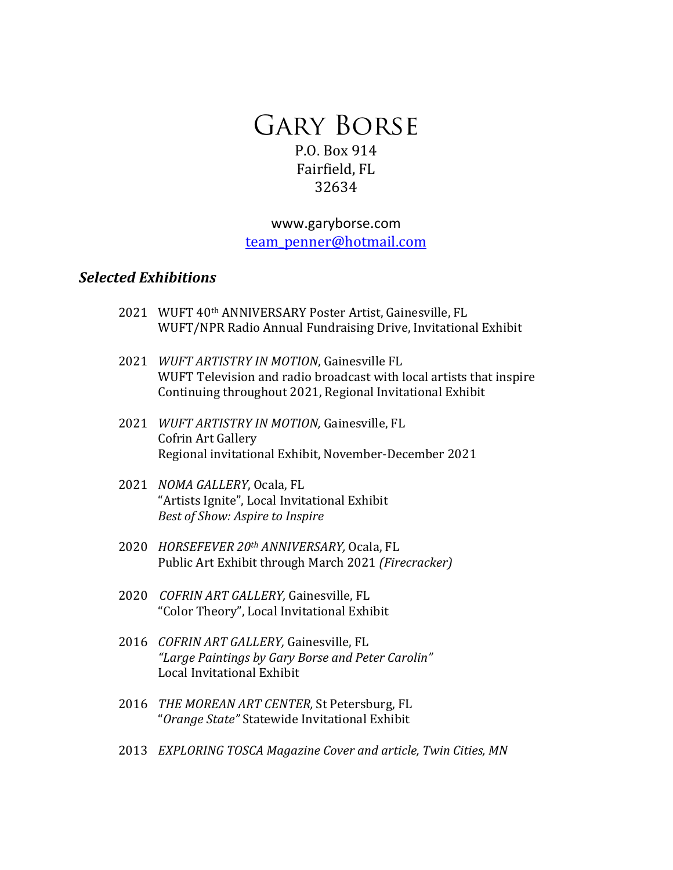# Gary Borse P.O. Box 914 Fairfield, FL 32634

www.garyborse.com team\_penner@hotmail.com

### *Selected Exhibitions*

- 2021 WUFT 40<sup>th</sup> ANNIVERSARY Poster Artist, Gainesville, FL WUFT/NPR Radio Annual Fundraising Drive, Invitational Exhibit
- 2021 *WUFT ARTISTRY IN MOTION*, Gainesville FL WUFT Television and radio broadcast with local artists that inspire Continuing throughout 2021, Regional Invitational Exhibit
- 2021 *WUFT ARTISTRY IN MOTION, Gainesville, FL* Cofrin Art Gallery Regional invitational Exhibit, November-December 2021
- 2021 *NOMA GALLERY*, Ocala, FL "Artists Ignite", Local Invitational Exhibit *Best of Show: Aspire to Inspire*
- 2020 *HORSEFEVER 20th ANNIVERSARY,* Ocala, FL Public Art Exhibit through March 2021 *(Firecracker)*
- 2020 *COFRIN ART GALLERY,* Gainesville, FL "Color Theory", Local Invitational Exhibit
- 2016 *COFRIN ART GALLERY*, Gainesville, FL *"Large Paintings by Gary Borse and Peter Carolin"* Local Invitational Exhibit
- 2016 *THE MOREAN ART CENTER,* St Petersburg, FL "*Orange State"* Statewide Invitational Exhibit
- 2013 *EXPLORING TOSCA Magazine Cover and article, Twin Cities, MN*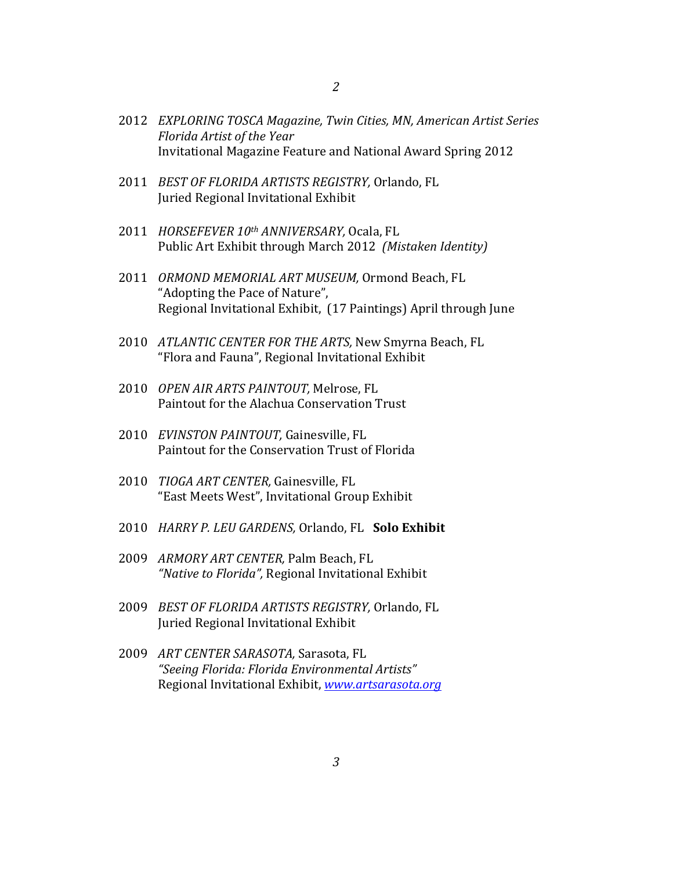- 2012 *EXPLORING TOSCA Magazine, Twin Cities, MN, American Artist Series Florida Artist of the Year* Invitational Magazine Feature and National Award Spring 2012
- 2011 *BEST OF FLORIDA ARTISTS REGISTRY, Orlando, FL* Juried Regional Invitational Exhibit
- 2011 *HORSEFEVER 10th ANNIVERSARY*, Ocala, FL Public Art Exhibit through March 2012 (Mistaken Identity)
- 2011 ORMOND MEMORIAL ART MUSEUM, Ormond Beach, FL "Adopting the Pace of Nature", Regional Invitational Exhibit, (17 Paintings) April through June
- 2010 *ATLANTIC CENTER FOR THE ARTS*, New Smyrna Beach, FL "Flora and Fauna", Regional Invitational Exhibit
- 2010 *OPEN AIR ARTS PAINTOUT,* Melrose, FL Paintout for the Alachua Conservation Trust
- 2010 *EVINSTON PAINTOUT*, Gainesville, FL Paintout for the Conservation Trust of Florida
- 2010 *TIOGA ART CENTER*, Gainesville, FL "East Meets West", Invitational Group Exhibit
- 2010 *HARRY P. LEU GARDENS, Orlando, FL* Solo Exhibit
- 2009 *ARMORY ART CENTER,* Palm Beach, FL "Native to Florida", Regional Invitational Exhibit
- 2009 *BEST OF FLORIDA ARTISTS REGISTRY,* Orlando, FL Juried Regional Invitational Exhibit
- 2009 ART CENTER SARASOTA, Sarasota, FL *"Seeing Florida: Florida Environmental Artists"* Regional Invitational Exhibit, *www.artsarasota.org*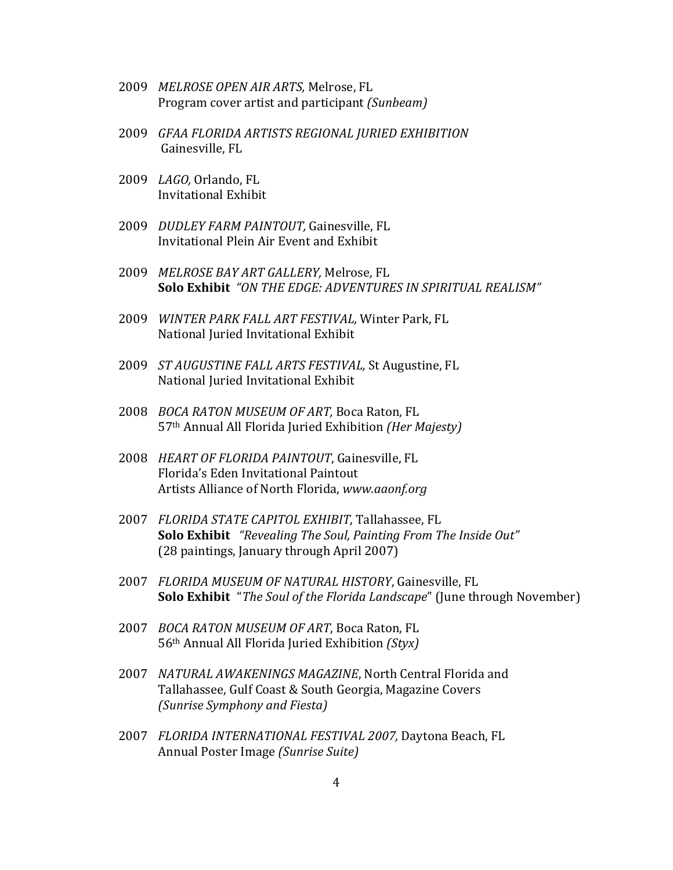- 2009 *MELROSE OPEN AIR ARTS*, Melrose, FL Program cover artist and participant *(Sunbeam)*
- 2009 *GFAA FLORIDA ARTISTS REGIONAL JURIED EXHIBITION* Gainesville, FL
- 2009 *LAGO,* Orlando, FL Invitational Exhibit
- 2009 *DUDLEY FARM PAINTOUT*, Gainesville, FL Invitational Plein Air Event and Exhibit
- 2009 *MELROSE BAY ART GALLERY*, Melrose, FL **Solo Exhibit** "ON THE EDGE: ADVENTURES IN SPIRITUAL REALISM"
- 2009 *WINTER PARK FALL ART FESTIVAL*, Winter Park, FL National Juried Invitational Exhibit
- 2009 *ST AUGUSTINE FALL ARTS FESTIVAL*, St Augustine, FL National Juried Invitational Exhibit
- 2008 *BOCA RATON MUSEUM OF ART*, Boca Raton, FL 57th Annual All Florida Juried Exhibition *(Her Majesty)*
- 2008 *HEART OF FLORIDA PAINTOUT*, Gainesville, FL Florida's Eden Invitational Paintout Artists Alliance of North Florida, www.aaonf.org
- 2007 *FLORIDA STATE CAPITOL EXHIBIT*, Tallahassee, FL **Solo Exhibit** *"Revealing The Soul, Painting From The Inside Out"* (28 paintings, January through April 2007)
- 2007 *FLORIDA MUSEUM OF NATURAL HISTORY*, Gainesville, FL **Solo Exhibit** "*The Soul of the Florida Landscape*" (June through November)
- 2007 *BOCA RATON MUSEUM OF ART*, Boca Raton, FL 56th Annual All Florida Juried Exhibition *(Styx)*
- 2007 *NATURAL AWAKENINGS MAGAZINE*, North Central Florida and Tallahassee, Gulf Coast & South Georgia, Magazine Covers *(Sunrise Symphony and Fiesta)*
- 2007 *FLORIDA INTERNATIONAL FESTIVAL 2007, Daytona Beach, FL* Annual Poster Image *(Sunrise Suite)*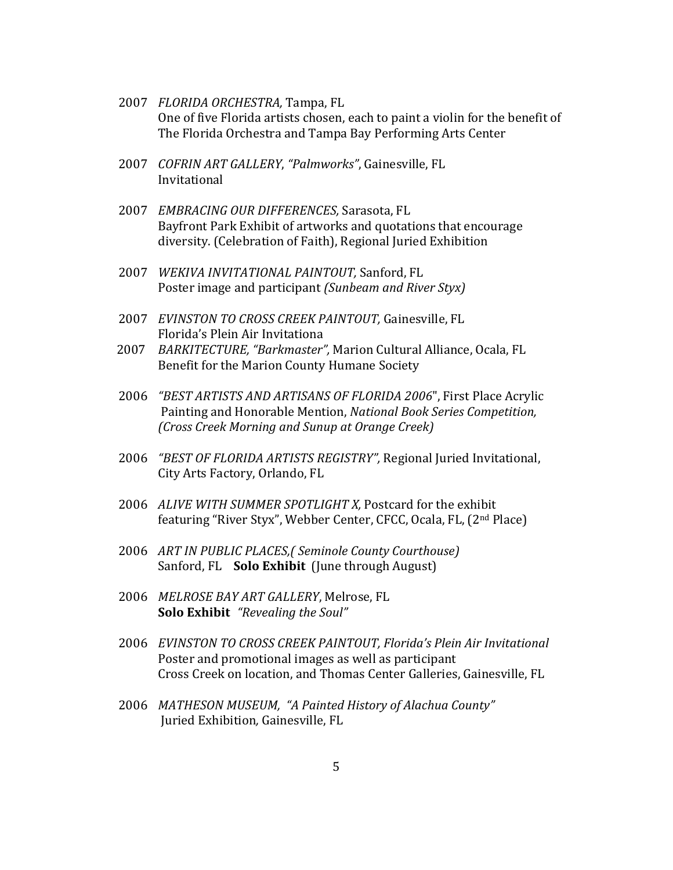- 2007 *FLORIDA ORCHESTRA*, Tampa, FL One of five Florida artists chosen, each to paint a violin for the benefit of The Florida Orchestra and Tampa Bay Performing Arts Center
- 2007 *COFRIN ART GALLERY*, "Palmworks", Gainesville, FL Invitational
- 2007 *EMBRACING OUR DIFFERENCES,* Sarasota, FL Bayfront Park Exhibit of artworks and quotations that encourage diversity. (Celebration of Faith), Regional Juried Exhibition
- 2007 *WEKIVA INVITATIONAL PAINTOUT*, Sanford, FL Poster image and participant *(Sunbeam and River Styx)*
- 2007 *EVINSTON TO CROSS CREEK PAINTOUT, Gainesville, FL* Florida's Plein Air Invitationa
- 2007 BARKITECTURE, "Barkmaster", Marion Cultural Alliance, Ocala, FL Benefit for the Marion County Humane Society
- 2006 *"BEST ARTISTS AND ARTISANS OF FLORIDA 2006*", First Place Acrylic Painting and Honorable Mention, *National Book Series Competition*, *(Cross Creek Morning and Sunup at Orange Creek)*
- 2006 *"BEST OF FLORIDA ARTISTS REGISTRY"*, Regional Juried Invitational, City Arts Factory, Orlando, FL
- 2006 *ALIVE WITH SUMMER SPOTLIGHT X*, Postcard for the exhibit featuring "River Styx", Webber Center, CFCC, Ocala, FL, (2<sup>nd</sup> Place)
- 2006 *ART IN PUBLIC PLACES,( Seminole County Courthouse)* Sanford, FL **Solo Exhibit** (June through August)
- 2006 MELROSE BAY ART GALLERY, Melrose, FL **Solo Exhibit** "Revealing the Soul"
- 2006 *EVINSTON TO CROSS CREEK PAINTOUT, Florida's Plein Air Invitational* Poster and promotional images as well as participant Cross Creek on location, and Thomas Center Galleries, Gainesville, FL
- 2006 MATHESON MUSEUM, "A Painted History of Alachua County" Juried Exhibition, Gainesville, FL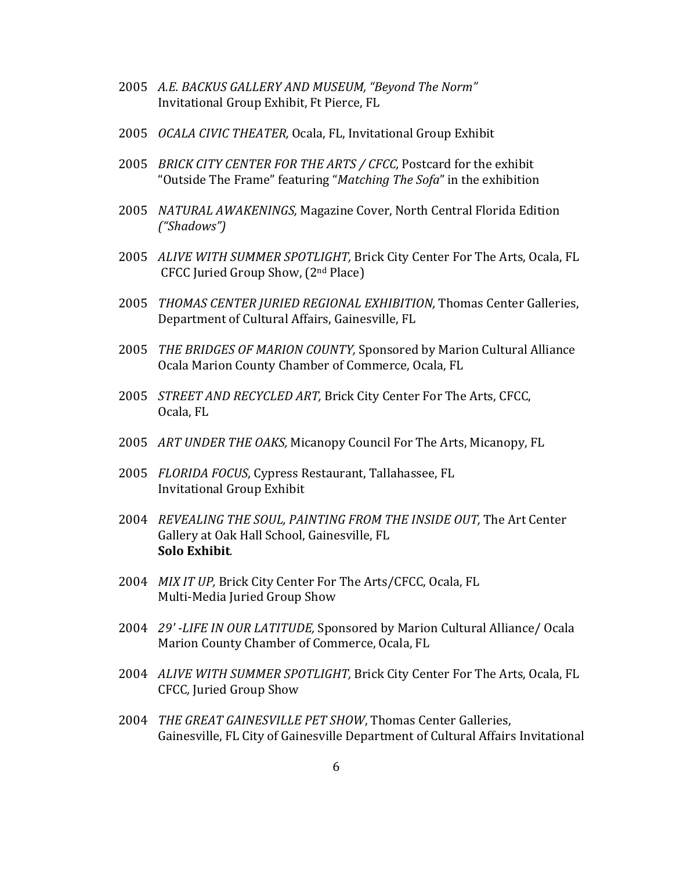- 2005 A.E. BACKUS GALLERY AND MUSEUM, "Beyond The Norm" Invitational Group Exhibit, Ft Pierce, FL
- 2005 *OCALA CIVIC THEATER*, Ocala, FL, Invitational Group Exhibit
- 2005 *BRICK CITY CENTER FOR THE ARTS / CFCC, Postcard for the exhibit* "Outside The Frame" featuring "*Matching The Sofa*" in the exhibition
- 2005 *NATURAL AWAKENINGS*, Magazine Cover, North Central Florida Edition *("Shadows")*
- 2005 *ALIVE WITH SUMMER SPOTLIGHT*, Brick City Center For The Arts, Ocala, FL CFCC Juried Group Show,  $(2<sup>nd</sup> Place)$
- 2005 *THOMAS CENTER JURIED REGIONAL EXHIBITION*, Thomas Center Galleries, Department of Cultural Affairs, Gainesville, FL
- 2005 *THE BRIDGES OF MARION COUNTY*, Sponsored by Marion Cultural Alliance Ocala Marion County Chamber of Commerce, Ocala, FL
- 2005 *STREET AND RECYCLED ART*, Brick City Center For The Arts, CFCC, Ocala, FL
- 2005 *ART UNDER THE OAKS*, Micanopy Council For The Arts, Micanopy, FL
- 2005 *FLORIDA FOCUS*, Cypress Restaurant, Tallahassee, FL Invitational Group Exhibit
- 2004 *REVEALING THE SOUL, PAINTING FROM THE INSIDE OUT,* The Art Center Gallery at Oak Hall School, Gainesville, FL **Solo Exhibit***.*
- 2004 *MIX IT UP*, Brick City Center For The Arts/CFCC, Ocala, FL Multi-Media Juried Group Show
- 2004 *29'* -LIFE IN OUR LATITUDE, Sponsored by Marion Cultural Alliance/ Ocala Marion County Chamber of Commerce, Ocala, FL
- 2004 *ALIVE WITH SUMMER SPOTLIGHT*, Brick City Center For The Arts, Ocala, FL CFCC*,* Juried Group Show
- 2004 *THE GREAT GAINESVILLE PET SHOW*, Thomas Center Galleries, Gainesville, FL City of Gainesville Department of Cultural Affairs Invitational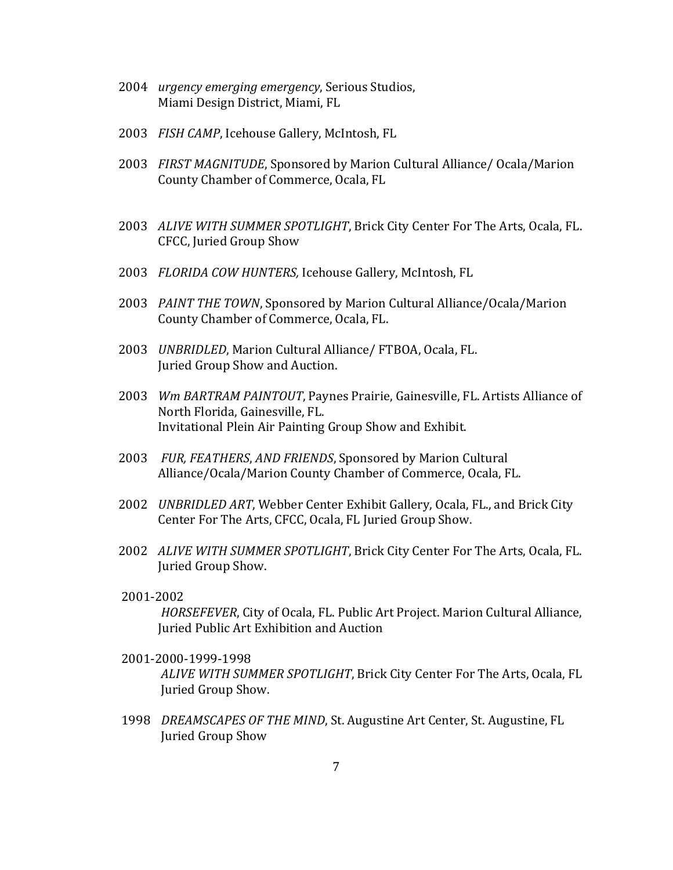- 2004 *urgency emerging emergency*, Serious Studios, Miami Design District, Miami, FL
- 2003 FISH CAMP, Icehouse Gallery, McIntosh, FL
- 2003 *FIRST MAGNITUDE*, Sponsored by Marion Cultural Alliance/ Ocala/Marion County Chamber of Commerce, Ocala, FL
- 2003 *ALIVE WITH SUMMER SPOTLIGHT*, Brick City Center For The Arts, Ocala, FL. CFCC, Juried Group Show
- 2003 *FLORIDA COW HUNTERS*, Icehouse Gallery, McIntosh, FL
- 2003 PAINT THE TOWN, Sponsored by Marion Cultural Alliance/Ocala/Marion County Chamber of Commerce, Ocala, FL.
- 2003 *UNBRIDLED*, Marion Cultural Alliance/ FTBOA, Ocala, FL. Juried Group Show and Auction.
- 2003 *Wm BARTRAM PAINTOUT*, Paynes Prairie, Gainesville, FL. Artists Alliance of North Florida, Gainesville, FL. Invitational Plein Air Painting Group Show and Exhibit.
- 2003 *FUR, FEATHERS, AND FRIENDS, Sponsored by Marion Cultural* Alliance/Ocala/Marion County Chamber of Commerce, Ocala, FL.
- 2002 *UNBRIDLED ART*, Webber Center Exhibit Gallery, Ocala, FL., and Brick City Center For The Arts, CFCC, Ocala, FL Juried Group Show.
- 2002 *ALIVE WITH SUMMER SPOTLIGHT*, Brick City Center For The Arts, Ocala, FL. Juried Group Show.

#### 2001-2002

*HORSEFEVER*, City of Ocala, FL. Public Art Project. Marion Cultural Alliance, Juried Public Art Exhibition and Auction

2001-2000-1999-1998

*ALIVE WITH SUMMER SPOTLIGHT*, Brick City Center For The Arts, Ocala, FL Juried Group Show.

1998 *DREAMSCAPES OF THE MIND*, St. Augustine Art Center, St. Augustine, FL Juried Group Show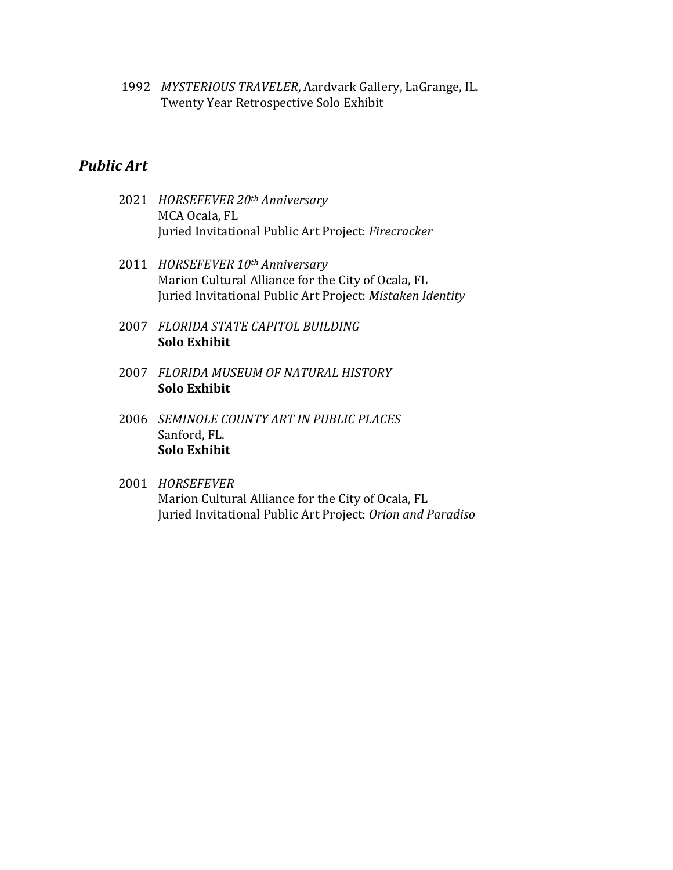1992 MYSTERIOUS TRAVELER, Aardvark Gallery, LaGrange, IL. Twenty Year Retrospective Solo Exhibit

## *Public Art*

- 2021 *HORSEFEVER 20th Anniversary* MCA Ocala, FL Juried Invitational Public Art Project: Firecracker
- 2011 *HORSEFEVER 10th Anniversary* Marion Cultural Alliance for the City of Ocala, FL Juried Invitational Public Art Project: Mistaken Identity
- 2007 *FLORIDA STATE CAPITOL BUILDING* **Solo Exhibit**
- 2007 *FLORIDA MUSEUM OF NATURAL HISTORY* **Solo Exhibit**
- 2006 *SEMINOLE COUNTY ART IN PUBLIC PLACES* Sanford, FL. **Solo Exhibit**
- 2001 *HORSEFEVER* Marion Cultural Alliance for the City of Ocala, FL Juried Invitational Public Art Project: Orion and Paradiso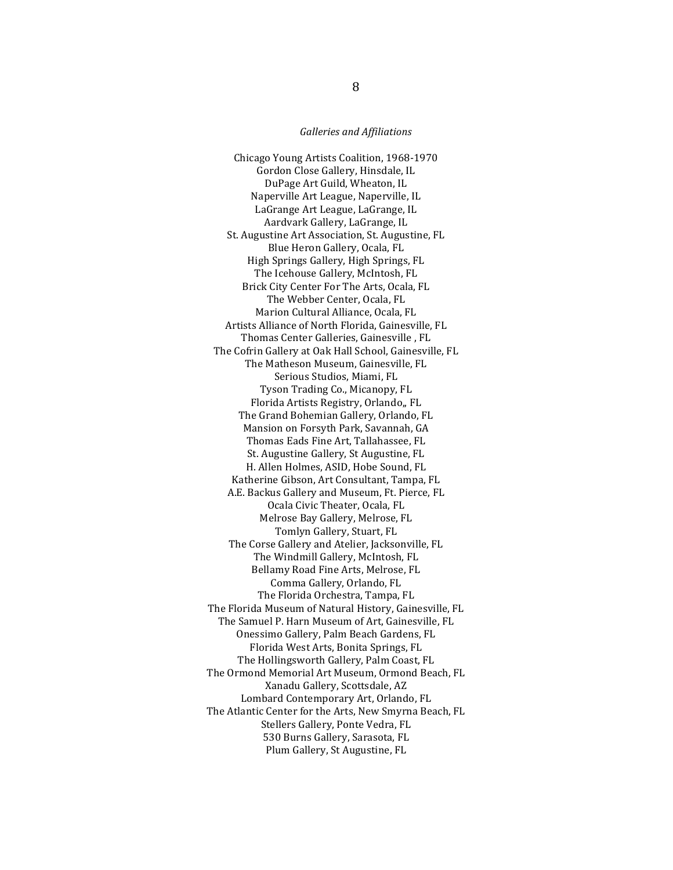#### *Galleries and Affiliations*

Chicago Young Artists Coalition, 1968-1970 Gordon Close Gallery, Hinsdale, IL DuPage Art Guild, Wheaton, IL Naperville Art League, Naperville, IL LaGrange Art League, LaGrange, IL Aardvark Gallery, LaGrange, IL St. Augustine Art Association, St. Augustine, FL Blue Heron Gallery, Ocala, FL High Springs Gallery, High Springs, FL The Icehouse Gallery, McIntosh, FL Brick City Center For The Arts, Ocala, FL The Webber Center, Ocala, FL Marion Cultural Alliance, Ocala, FL Artists Alliance of North Florida, Gainesville, FL Thomas Center Galleries, Gainesville, FL The Cofrin Gallery at Oak Hall School, Gainesville, FL The Matheson Museum, Gainesville, FL Serious Studios, Miami, FL Tyson Trading Co., Micanopy, FL Florida Artists Registry, Orlando,, FL The Grand Bohemian Gallery, Orlando, FL Mansion on Forsyth Park, Savannah, GA Thomas Eads Fine Art, Tallahassee, FL St. Augustine Gallery, St Augustine, FL H. Allen Holmes, ASID, Hobe Sound, FL Katherine Gibson, Art Consultant, Tampa, FL A.E. Backus Gallery and Museum, Ft. Pierce, FL Ocala Civic Theater, Ocala, FL Melrose Bay Gallery, Melrose, FL Tomlyn Gallery, Stuart, FL The Corse Gallery and Atelier, Jacksonville, FL The Windmill Gallery, McIntosh, FL Bellamy Road Fine Arts, Melrose, FL Comma Gallery, Orlando, FL The Florida Orchestra, Tampa, FL The Florida Museum of Natural History, Gainesville, FL The Samuel P. Harn Museum of Art, Gainesville, FL Onessimo Gallery, Palm Beach Gardens, FL Florida West Arts, Bonita Springs, FL The Hollingsworth Gallery, Palm Coast, FL The Ormond Memorial Art Museum, Ormond Beach, FL Xanadu Gallery, Scottsdale, AZ Lombard Contemporary Art, Orlando, FL The Atlantic Center for the Arts, New Smyrna Beach, FL Stellers Gallery, Ponte Vedra, FL 530 Burns Gallery, Sarasota, FL Plum Gallery, St Augustine, FL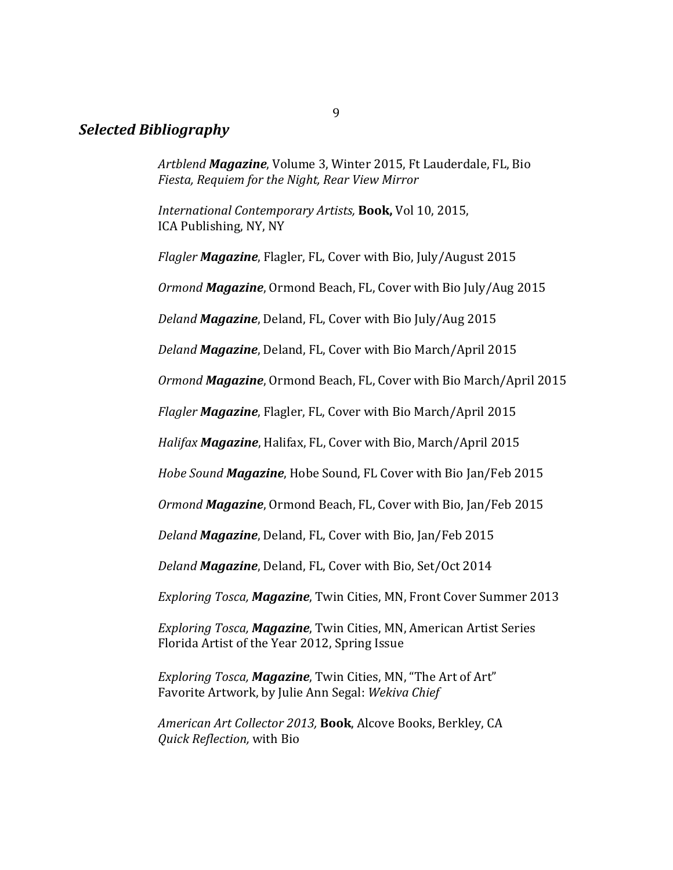## *Selected Bibliography*

Artblend **Magazine**, Volume 3, Winter 2015, Ft Lauderdale, FL, Bio *Fiesta, Requiem for the Night, Rear View Mirror* 

*International Contemporary Artists, Book, Vol 10, 2015,* ICA Publishing, NY, NY

*Flagler Magazine*, Flagler, FL, Cover with Bio, July/August 2015

*Ormond Magazine*, Ormond Beach, FL, Cover with Bio July/Aug 2015

*Deland Magazine*, Deland, FL, Cover with Bio July/Aug 2015

*Deland Magazine*, Deland, FL, Cover with Bio March/April 2015

*Ormond Magazine*, Ormond Beach, FL, Cover with Bio March/April 2015

*Flagler Magazine*, Flagler, FL, Cover with Bio March/April 2015

*Halifax Magazine*, Halifax, FL, Cover with Bio, March/April 2015

*Hobe Sound Magazine*, Hobe Sound, FL Cover with Bio Jan/Feb 2015

*Ormond Magazine*, Ormond Beach, FL, Cover with Bio, Jan/Feb 2015

*Deland Magazine*, Deland, FL, Cover with Bio, Jan/Feb 2015

*Deland Magazine*, Deland, FL, Cover with Bio, Set/Oct 2014

*Exploring Tosca, Magazine, Twin Cities, MN, Front Cover Summer 2013* 

*Exploring Tosca, Magazine*, Twin Cities, MN, American Artist Series Florida Artist of the Year 2012, Spring Issue

*Exploring Tosca, Magazine*, Twin Cities, MN, "The Art of Art" Favorite Artwork, by Julie Ann Segal: *Wekiva Chief*

American Art Collector 2013, **Book**, Alcove Books, Berkley, CA *Quick Reflection, with Bio* 

9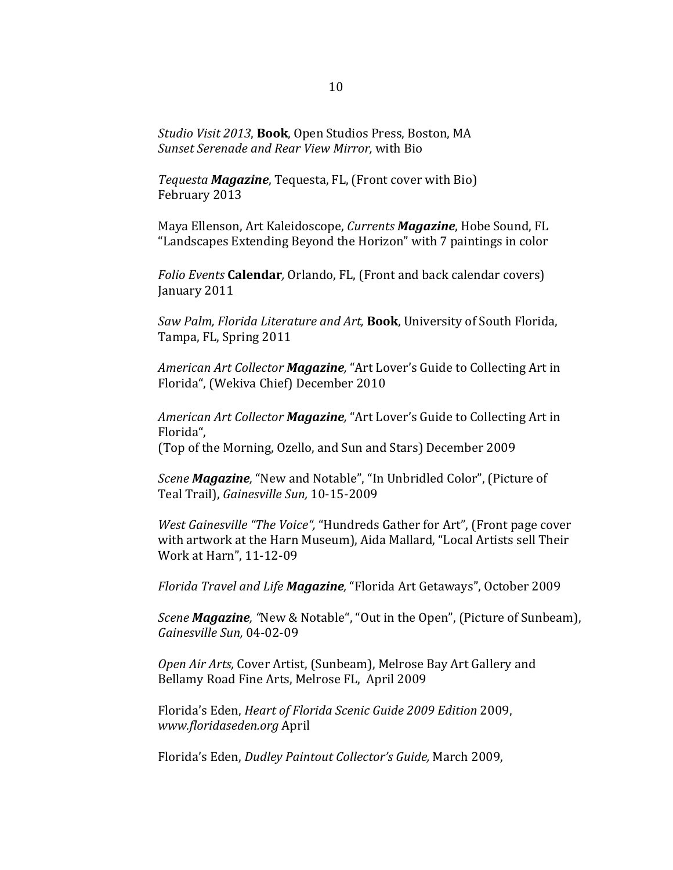*Studio Visit 2013*, **Book**, Open Studios Press, Boston, MA *Sunset Serenade and Rear View Mirror,* with Bio

*Tequesta Magazine*, Tequesta, FL, (Front cover with Bio) February 2013

Maya Ellenson, Art Kaleidoscope, *Currents Magazine*, Hobe Sound, FL "Landscapes Extending Beyond the Horizon" with 7 paintings in color

*Folio Events* **Calendar**, Orlando, FL, (Front and back calendar covers) January 2011

*Saw Palm, Florida Literature and Art*, **Book**, University of South Florida, Tampa, FL, Spring 2011

American Art Collector **Magazine**, "Art Lover's Guide to Collecting Art in Florida", (Wekiva Chief) December 2010

American Art Collector **Magazine**, "Art Lover's Guide to Collecting Art in Florida", (Top of the Morning, Ozello, and Sun and Stars) December 2009

*Scene Magazine*, "New and Notable", "In Unbridled Color", (Picture of Teal Trail), *Gainesville Sun*, 10-15-2009

*West Gainesville* "The Voice", "Hundreds Gather for Art", (Front page cover with artwork at the Harn Museum), Aida Mallard, "Local Artists sell Their Work at Harn", 11-12-09

*Florida Travel and Life Magazine*, "Florida Art Getaways", October 2009

*Scene Magazine*, "New & Notable", "Out in the Open", (Picture of Sunbeam), *Gainesville Sun,* 04-02-09

Open Air Arts, Cover Artist, (Sunbeam), Melrose Bay Art Gallery and Bellamy Road Fine Arts, Melrose FL, April 2009

Florida's Eden, *Heart of Florida Scenic Guide 2009 Edition* 2009, *www.floridaseden.org* April 

Florida's Eden, *Dudley Paintout Collector's Guide*, March 2009,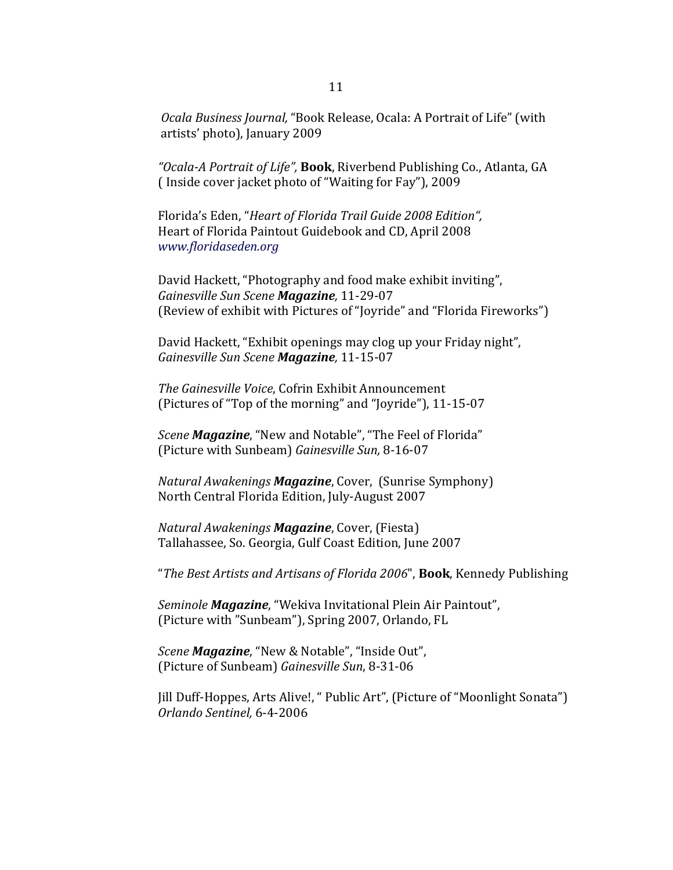*Ocala Business Journal,* "Book Release, Ocala: A Portrait of Life" (with artists' photo), January 2009

*"Ocala-A Portrait of Life",* **Book**, Riverbend Publishing Co., Atlanta, GA (Inside cover jacket photo of "Waiting for Fay"), 2009

Florida's Eden, "*Heart of Florida Trail Guide 2008 Edition"*, Heart of Florida Paintout Guidebook and CD, April 2008 *www.floridaseden.org*

David Hackett, "Photography and food make exhibit inviting", *Gainesville Sun Scene Magazine,* 11-29-07 (Review of exhibit with Pictures of "Joyride" and "Florida Fireworks")

David Hackett, "Exhibit openings may clog up your Friday night", *Gainesville Sun Scene Magazine,* 11-15-07

**The Gainesville Voice, Cofrin Exhibit Announcement** (Pictures of "Top of the morning" and "Joyride"), 11-15-07

*Scene Magazine*, "New and Notable", "The Feel of Florida" (Picture with Sunbeam) *Gainesville Sun*, 8-16-07

*Natural Awakenings Magazine*, Cover, (Sunrise Symphony) North Central Florida Edition, July-August 2007

*Natural Awakenings Magazine*, Cover, (Fiesta) Tallahassee, So. Georgia, Gulf Coast Edition, June 2007

"The Best Artists and Artisans of Florida 2006", **Book**, Kennedy Publishing

*Seminole Magazine*, "Wekiva Invitational Plein Air Paintout", (Picture with "Sunbeam"), Spring 2007, Orlando, FL

*Scene Magazine*, "New & Notable", "Inside Out", (Picture of Sunbeam) *Gainesville Sun*, 8-31-06

Jill Duff-Hoppes, Arts Alive!, " Public Art", (Picture of "Moonlight Sonata") *Orlando Sentinel,* 6-4-2006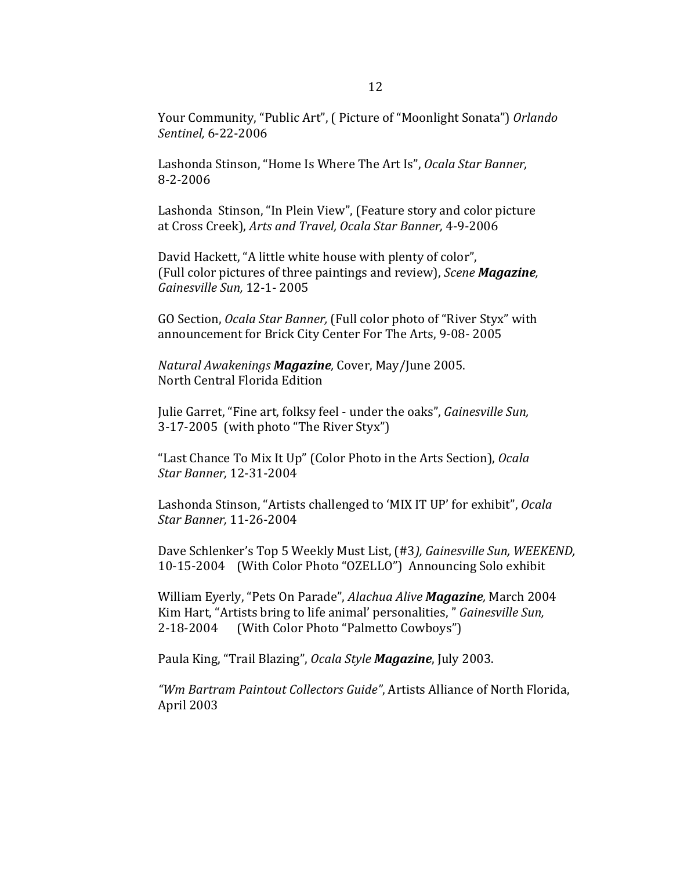Your Community, "Public Art", ( Picture of "Moonlight Sonata") *Orlando Sentinel,* 6-22-2006

Lashonda Stinson, "Home Is Where The Art Is", *Ocala Star Banner*, 8-2-2006

Lashonda Stinson, "In Plein View", (Feature story and color picture at Cross Creek), Arts and Travel, Ocala Star Banner, 4-9-2006

David Hackett, "A little white house with plenty of color", (Full color pictures of three paintings and review), *Scene Magazine*, *Gainesville Sun,* 12-1- 2005

GO Section, *Ocala Star Banner*, (Full color photo of "River Styx" with announcement for Brick City Center For The Arts, 9-08- 2005

*Natural Awakenings Magazine,* Cover, May/June 2005. North Central Florida Edition

Julie Garret, "Fine art, folksy feel - under the oaks", *Gainesville Sun*, 3-17-2005 (with photo "The River Styx")

"Last Chance To Mix It Up" (Color Photo in the Arts Section), *Ocala Star Banner,* 12-31-2004

Lashonda Stinson, "Artists challenged to 'MIX IT UP' for exhibit", *Ocala Star Banner,* 11-26-2004

Dave Schlenker's Top 5 Weekly Must List, (#3), Gainesville Sun, WEEKEND, 10-15-2004 (With Color Photo "OZELLO") Announcing Solo exhibit

William Eyerly, "Pets On Parade", *Alachua Alive Magazine*, March 2004 Kim Hart, "Artists bring to life animal' personalities," *Gainesville Sun*, 2-18-2004 (With Color Photo "Palmetto Cowboys")

Paula King, "Trail Blazing", *Ocala Style Magazine*, July 2003.

"Wm Bartram Paintout Collectors Guide", Artists Alliance of North Florida, April 2003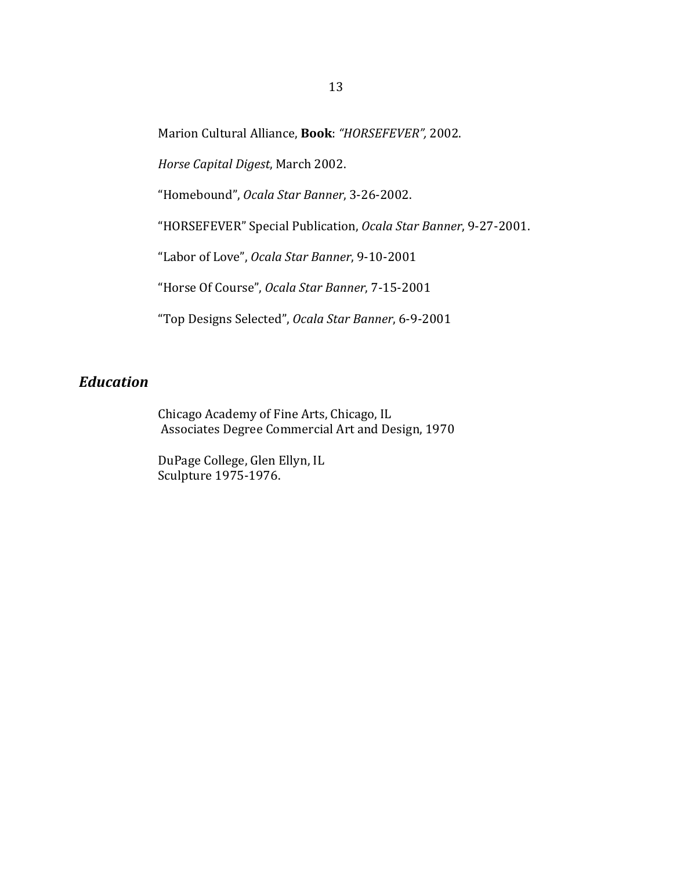Marion Cultural Alliance, **Book**: "HORSEFEVER", 2002.

*Horse Capital Digest*, March 2002.

"Homebound", Ocala Star Banner, 3-26-2002.

"HORSEFEVER" Special Publication, *Ocala Star Banner*, 9-27-2001.

"Labor of Love", *Ocala Star Banner*, 9-10-2001

"Horse Of Course", Ocala Star Banner, 7-15-2001

"Top Designs Selected", *Ocala Star Banner*, 6-9-2001

## *Education*

Chicago Academy of Fine Arts, Chicago, IL Associates Degree Commercial Art and Design, 1970

DuPage College, Glen Ellyn, IL Sculpture 1975-1976.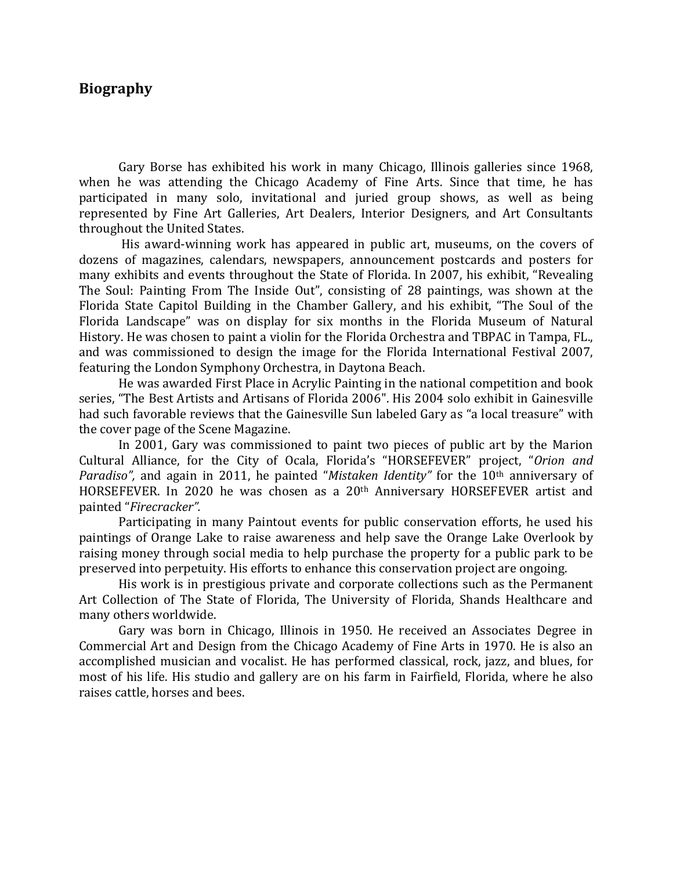### **Biography**

Gary Borse has exhibited his work in many Chicago, Illinois galleries since 1968, when he was attending the Chicago Academy of Fine Arts. Since that time, he has participated in many solo, invitational and juried group shows, as well as being represented by Fine Art Galleries, Art Dealers, Interior Designers, and Art Consultants throughout the United States.

His award-winning work has appeared in public art, museums, on the covers of dozens of magazines, calendars, newspapers, announcement postcards and posters for many exhibits and events throughout the State of Florida. In 2007, his exhibit, "Revealing The Soul: Painting From The Inside Out", consisting of 28 paintings, was shown at the Florida State Capitol Building in the Chamber Gallery, and his exhibit, "The Soul of the Florida Landscape" was on display for six months in the Florida Museum of Natural History. He was chosen to paint a violin for the Florida Orchestra and TBPAC in Tampa, FL., and was commissioned to design the image for the Florida International Festival 2007, featuring the London Symphony Orchestra, in Daytona Beach.

He was awarded First Place in Acrylic Painting in the national competition and book series, "The Best Artists and Artisans of Florida 2006". His 2004 solo exhibit in Gainesville had such favorable reviews that the Gainesville Sun labeled Gary as "a local treasure" with the cover page of the Scene Magazine.

In 2001, Gary was commissioned to paint two pieces of public art by the Marion Cultural Alliance, for the City of Ocala, Florida's "HORSEFEVER" project, "Orion and *Paradiso"*, and again in 2011, he painted "*Mistaken Identity*" for the 10<sup>th</sup> anniversary of HORSEFEVER. In 2020 he was chosen as a  $20<sup>th</sup>$  Anniversary HORSEFEVER artist and painted "*Firecracker".*

Participating in many Paintout events for public conservation efforts, he used his paintings of Orange Lake to raise awareness and help save the Orange Lake Overlook by raising money through social media to help purchase the property for a public park to be preserved into perpetuity. His efforts to enhance this conservation project are ongoing.

His work is in prestigious private and corporate collections such as the Permanent Art Collection of The State of Florida, The University of Florida, Shands Healthcare and many others worldwide.

Gary was born in Chicago, Illinois in 1950. He received an Associates Degree in Commercial Art and Design from the Chicago Academy of Fine Arts in 1970. He is also an accomplished musician and vocalist. He has performed classical, rock, jazz, and blues, for most of his life. His studio and gallery are on his farm in Fairfield, Florida, where he also raises cattle, horses and bees.